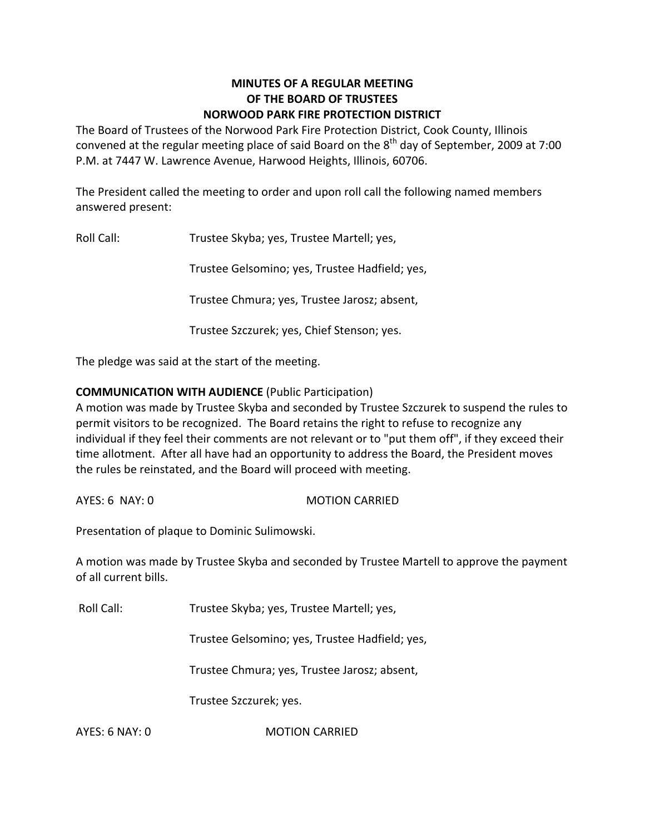## **MINUTES OF A REGULAR MEETING OF THE BOARD OF TRUSTEES NORWOOD PARK FIRE PROTECTION DISTRICT**

The Board of Trustees of the Norwood Park Fire Protection District, Cook County, Illinois convened at the regular meeting place of said Board on the  $8^{\text{th}}$  day of September, 2009 at 7:00 P.M. at 7447 W. Lawrence Avenue, Harwood Heights, Illinois, 60706.

The President called the meeting to order and upon roll call the following named members answered present:

Roll Call: Trustee Skyba; yes, Trustee Martell; yes,

Trustee Gelsomino; yes, Trustee Hadfield; yes,

Trustee Chmura; yes, Trustee Jarosz; absent,

Trustee Szczurek; yes, Chief Stenson; yes.

The pledge was said at the start of the meeting.

## **COMMUNICATION WITH AUDIENCE** (Public Participation)

A motion was made by Trustee Skyba and seconded by Trustee Szczurek to suspend the rules to permit visitors to be recognized. The Board retains the right to refuse to recognize any individual if they feel their comments are not relevant or to "put them off", if they exceed their time allotment. After all have had an opportunity to address the Board, the President moves the rules be reinstated, and the Board will proceed with meeting.

AYES: 6 NAY: 0 MOTION CARRIED

Presentation of plaque to Dominic Sulimowski.

A motion was made by Trustee Skyba and seconded by Trustee Martell to approve the payment of all current bills.

Roll Call: Trustee Skyba; yes, Trustee Martell; yes,

Trustee Gelsomino; yes, Trustee Hadfield; yes,

Trustee Chmura; yes, Trustee Jarosz; absent,

Trustee Szczurek; yes.

AYES: 6 NAY: 0 **MOTION CARRIED**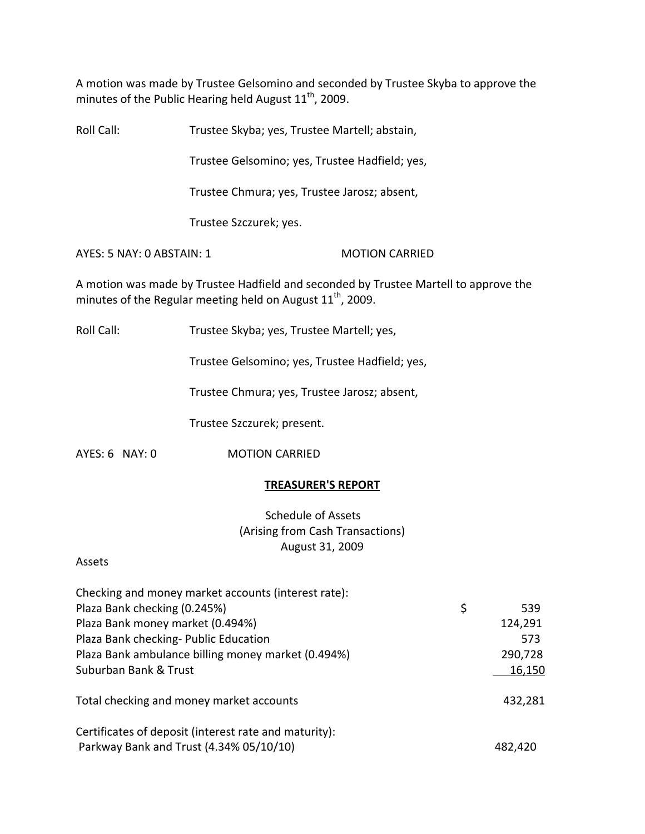A motion was made by Trustee Gelsomino and seconded by Trustee Skyba to approve the minutes of the Public Hearing held August  $11<sup>th</sup>$ , 2009.

Roll Call: Trustee Skyba; yes, Trustee Martell; abstain,

Trustee Gelsomino; yes, Trustee Hadfield; yes,

Trustee Chmura; yes, Trustee Jarosz; absent,

Trustee Szczurek; yes.

AYES: 5 NAY: 0 ABSTAIN: 1 MOTION CARRIED

A motion was made by Trustee Hadfield and seconded by Trustee Martell to approve the minutes of the Regular meeting held on August  $11^{\text{th}}$ , 2009.

Roll Call: Trustee Skyba; yes, Trustee Martell; yes,

Trustee Gelsomino; yes, Trustee Hadfield; yes,

Trustee Chmura; yes, Trustee Jarosz; absent,

Trustee Szczurek; present.

AYES: 6 NAY: 0 **MOTION CARRIED** 

### **TREASURER'S REPORT**

Schedule of Assets (Arising from Cash Transactions) August 31, 2009

### Assets

| Checking and money market accounts (interest rate):   |           |
|-------------------------------------------------------|-----------|
| Plaza Bank checking (0.245%)                          | \$<br>539 |
| Plaza Bank money market (0.494%)                      | 124,291   |
| Plaza Bank checking- Public Education                 | 573       |
| Plaza Bank ambulance billing money market (0.494%)    | 290,728   |
| Suburban Bank & Trust                                 | 16,150    |
| Total checking and money market accounts              | 432,281   |
| Certificates of deposit (interest rate and maturity): |           |
| Parkway Bank and Trust (4.34% 05/10/10)               | 482,420   |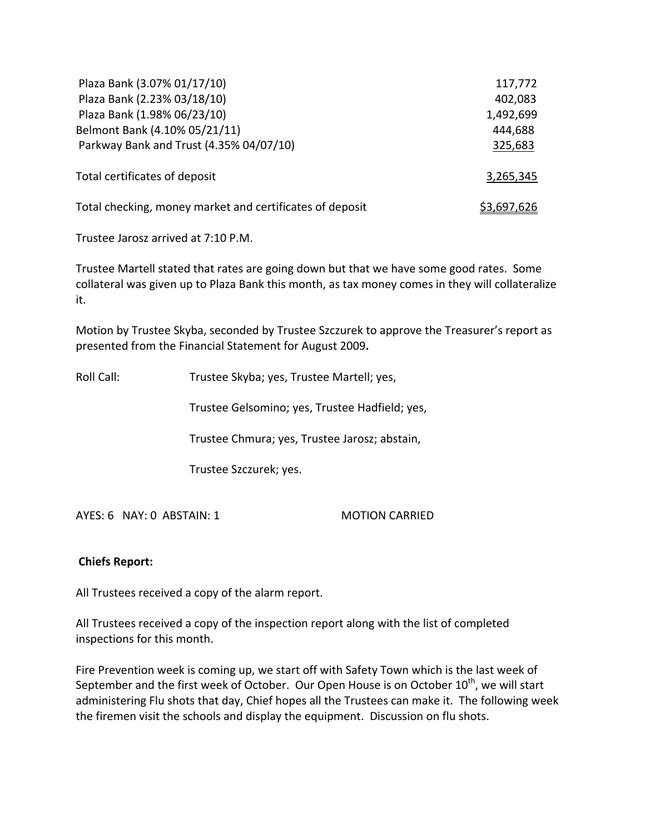| Plaza Bank (3.07% 01/17/10)                              | 117,772            |
|----------------------------------------------------------|--------------------|
| Plaza Bank (2.23% 03/18/10)                              | 402,083            |
| Plaza Bank (1.98% 06/23/10)                              | 1,492,699          |
| Belmont Bank (4.10% 05/21/11)                            | 444,688            |
| Parkway Bank and Trust (4.35% 04/07/10)                  | 325,683            |
| Total certificates of deposit                            | 3,265,345          |
| Total checking, money market and certificates of deposit | <u>\$3,697,626</u> |

Trustee Jarosz arrived at 7:10 P.M.

Trustee Martell stated that rates are going down but that we have some good rates. Some collateral was given up to Plaza Bank this month, as tax money comes in they will collateralize it.

Motion by Trustee Skyba, seconded by Trustee Szczurek to approve the Treasurer's report as presented from the Financial Statement for August 2009**.**

Roll Call: Trustee Skyba; yes, Trustee Martell; yes,

Trustee Gelsomino; yes, Trustee Hadfield; yes,

Trustee Chmura; yes, Trustee Jarosz; abstain,

Trustee Szczurek; yes.

AYES: 6 NAY: 0 ABSTAIN: 1 MOTION CARRIED

# **Chiefs Report:**

All Trustees received a copy of the alarm report.

All Trustees received a copy of the inspection report along with the list of completed inspections for this month.

Fire Prevention week is coming up, we start off with Safety Town which is the last week of September and the first week of October. Our Open House is on October  $10^{\text{th}}$ , we will start administering Flu shots that day, Chief hopes all the Trustees can make it. The following week the firemen visit the schools and display the equipment. Discussion on flu shots.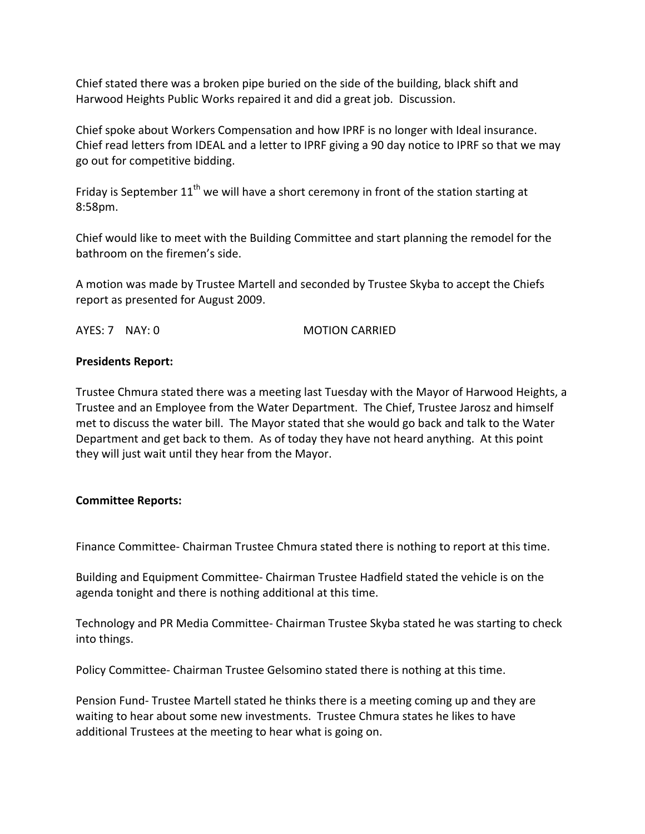Chief stated there was a broken pipe buried on the side of the building, black shift and Harwood Heights Public Works repaired it and did a great job. Discussion.

Chief spoke about Workers Compensation and how IPRF is no longer with Ideal insurance. Chief read letters from IDEAL and a letter to IPRF giving a 90 day notice to IPRF so that we may go out for competitive bidding.

Friday is September  $11<sup>th</sup>$  we will have a short ceremony in front of the station starting at 8:58pm.

Chief would like to meet with the Building Committee and start planning the remodel for the bathroom on the firemen's side.

A motion was made by Trustee Martell and seconded by Trustee Skyba to accept the Chiefs report as presented for August 2009.

AYES: 7 NAY: 0 **MOTION CARRIED** 

## **Presidents Report:**

Trustee Chmura stated there was a meeting last Tuesday with the Mayor of Harwood Heights, a Trustee and an Employee from the Water Department. The Chief, Trustee Jarosz and himself met to discuss the water bill. The Mayor stated that she would go back and talk to the Water Department and get back to them. As of today they have not heard anything. At this point they will just wait until they hear from the Mayor.

# **Committee Reports:**

Finance Committee‐ Chairman Trustee Chmura stated there is nothing to report at this time.

Building and Equipment Committee‐ Chairman Trustee Hadfield stated the vehicle is on the agenda tonight and there is nothing additional at this time.

Technology and PR Media Committee‐ Chairman Trustee Skyba stated he was starting to check into things.

Policy Committee‐ Chairman Trustee Gelsomino stated there is nothing at this time.

Pension Fund‐ Trustee Martell stated he thinks there is a meeting coming up and they are waiting to hear about some new investments. Trustee Chmura states he likes to have additional Trustees at the meeting to hear what is going on.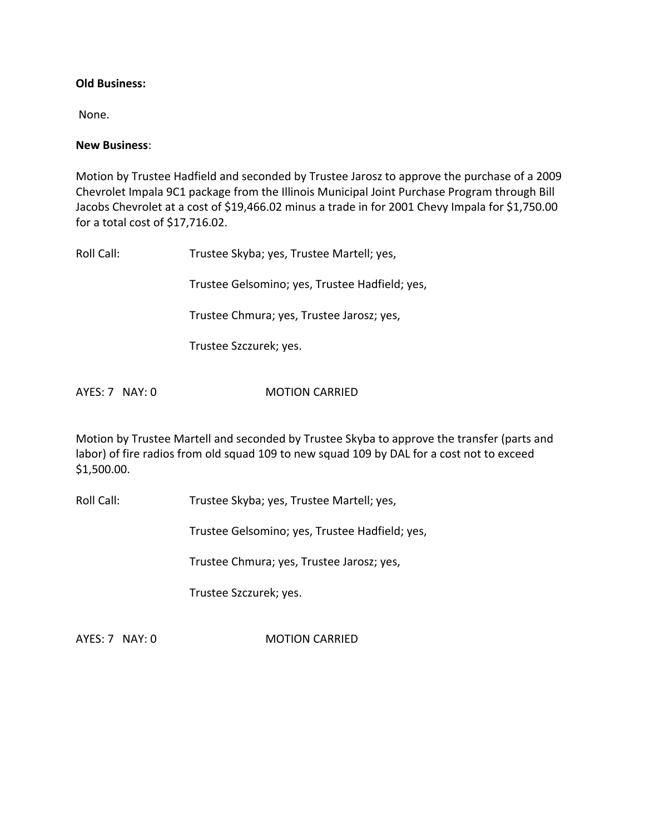#### **Old Business:**

None.

#### **New Business**:

Motion by Trustee Hadfield and seconded by Trustee Jarosz to approve the purchase of a 2009 Chevrolet Impala 9C1 package from the Illinois Municipal Joint Purchase Program through Bill Jacobs Chevrolet at a cost of \$19,466.02 minus a trade in for 2001 Chevy Impala for \$1,750.00 for a total cost of \$17,716.02.

| Roll Call: | Trustee Skyba; yes, Trustee Martell; yes,      |
|------------|------------------------------------------------|
|            | Trustee Gelsomino; yes, Trustee Hadfield; yes, |
|            | Trustee Chmura; yes, Trustee Jarosz; yes,      |
|            | Trustee Szczurek; yes.                         |
|            |                                                |

AYES: 7 NAY: 0 **MOTION CARRIED** 

Motion by Trustee Martell and seconded by Trustee Skyba to approve the transfer (parts and labor) of fire radios from old squad 109 to new squad 109 by DAL for a cost not to exceed \$1,500.00.

Roll Call: Trustee Skyba; yes, Trustee Martell; yes,

Trustee Gelsomino; yes, Trustee Hadfield; yes,

Trustee Chmura; yes, Trustee Jarosz; yes,

Trustee Szczurek; yes.

AYES: 7 NAY: 0 **MOTION CARRIED**